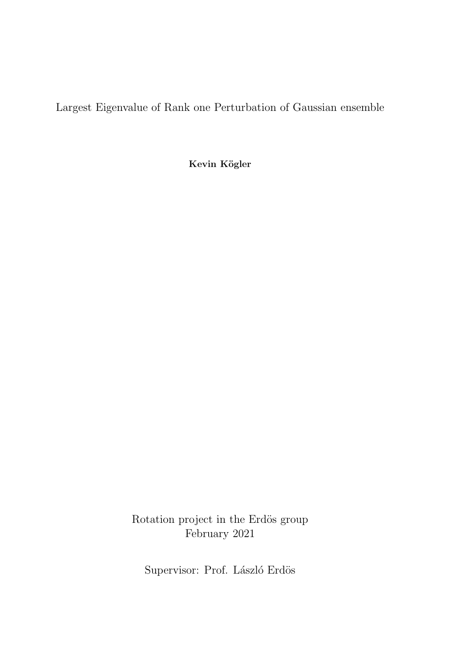Largest Eigenvalue of Rank one Perturbation of Gaussian ensemble

Kevin Kögler

Rotation project in the Erdös group  $\,$ February 2021

Supervisor: Prof. László Erdös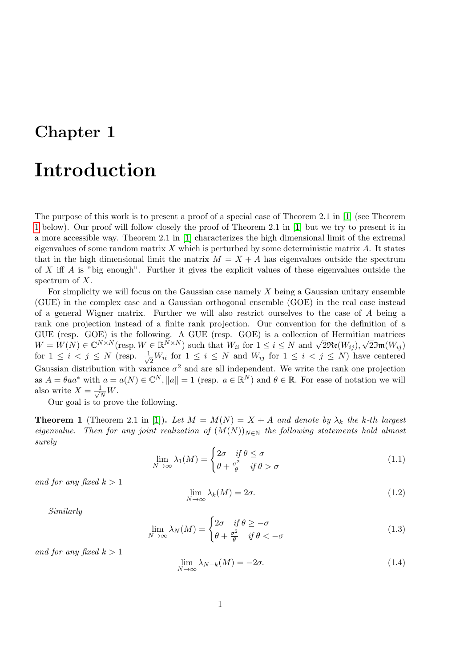## Introduction

The purpose of this work is to present a proof of a special case of Theorem 2.1 in [\[1\]](#page-16-0) (see Theorem [1](#page-1-0) below). Our proof will follow closely the proof of Theorem 2.1 in [\[1\]](#page-16-0) but we try to present it in a more accessible way. Theorem 2.1 in [\[1\]](#page-16-0) characterizes the high dimensional limit of the extremal eigenvalues of some random matrix X which is perturbed by some deterministic matrix  $A$ . It states that in the high dimensional limit the matrix  $M = X + A$  has eigenvalues outside the spectrum of X iff A is "big enough". Further it gives the explicit values of these eigenvalues outside the spectrum of  $X$ .

For simplicity we will focus on the Gaussian case namely  $X$  being a Gaussian unitary ensemble (GUE) in the complex case and a Gaussian orthogonal ensemble (GOE) in the real case instead of a general Wigner matrix. Further we will also restrict ourselves to the case of A being a rank one projection instead of a finite rank projection. Our convention for the definition of a GUE (resp. GOE) is the following. A GUE (resp. GOE) is a collection of Hermitian matrices GUE (resp. GUE) is the following. A GUE (resp. GUE) is a conection of Hermiti $W = W(N) \in \mathbb{C}^{N \times N}$  (resp.  $W \in \mathbb{R}^{N \times N}$ ) such that  $W_{ii}$  for  $1 \le i \le N$  and  $\sqrt{2\Re(\mathcal{W}_{ij})}$ , √  $2$ Jm $(W_{ij})$ for  $1 \leq i \leq j \leq N$  (resp.  $\frac{1}{\sqrt{N}}$ )  $\frac{1}{2}W_{ii}$  for  $1 \leq i \leq N$  and  $W_{ij}$  for  $1 \leq i \leq j \leq N$ ) have centered Gaussian distribution with variance  $\sigma^2$  and are all independent. We write the rank one projection as  $A = \theta a a^*$  with  $a = a(N) \in \mathbb{C}^N$ ,  $||a|| = 1$  (resp.  $a \in \mathbb{R}^N$ ) and  $\theta \in \mathbb{R}$ . For ease of notation we will also write  $X = \frac{1}{\sqrt{2}}$  $\frac{1}{\overline{N}}W.$ 

Our goal is to prove the following.

<span id="page-1-0"></span>**Theorem 1** (Theorem 2.1 in [\[1\]](#page-16-0)). Let  $M = M(N) = X + A$  and denote by  $\lambda_k$  the k-th largest eigenvalue. Then for any joint realization of  $(M(N))_{N\in\mathbb{N}}$  the following statements hold almost surely

<span id="page-1-3"></span>
$$
\lim_{N \to \infty} \lambda_1(M) = \begin{cases} 2\sigma & \text{if } \theta \le \sigma \\ \theta + \frac{\sigma^2}{\theta} & \text{if } \theta > \sigma \end{cases}
$$
 (1.1)

and for any fixed  $k > 1$ 

<span id="page-1-1"></span>
$$
\lim_{N \to \infty} \lambda_k(M) = 2\sigma. \tag{1.2}
$$

Similarly

<span id="page-1-4"></span>
$$
\lim_{N \to \infty} \lambda_N(M) = \begin{cases} 2\sigma & \text{if } \theta \ge -\sigma \\ \theta + \frac{\sigma^2}{\theta} & \text{if } \theta < -\sigma \end{cases}
$$
 (1.3)

and for any fixed  $k > 1$ 

<span id="page-1-2"></span>
$$
\lim_{N \to \infty} \lambda_{N-k}(M) = -2\sigma. \tag{1.4}
$$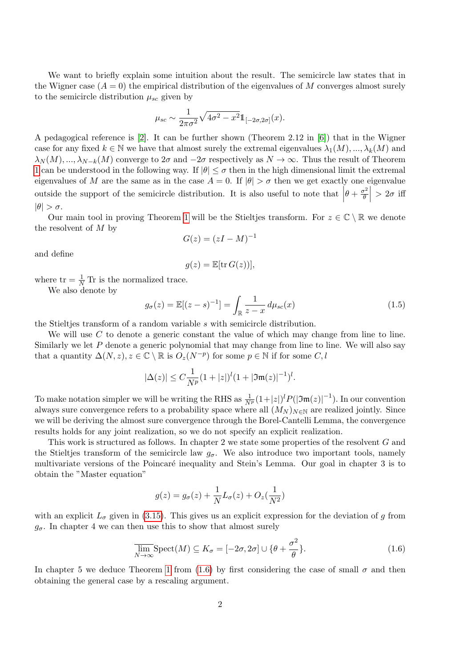We want to briefly explain some intuition about the result. The semicircle law states that in the Wigner case  $(A = 0)$  the empirical distribution of the eigenvalues of M converges almost surely to the semicircle distribution  $\mu_{sc}$  given by

$$
\mu_{sc} \sim \frac{1}{2\pi\sigma^2} \sqrt{4\sigma^2 - x^2} \mathbb{1}_{[-2\sigma, 2\sigma]}(x).
$$

A pedagogical reference is [\[2\]](#page-16-1). It can be further shown (Theorem 2.12 in [\[6\]](#page-16-2)) that in the Wigner case for any fixed  $k \in \mathbb{N}$  we have that almost surely the extremal eigenvalues  $\lambda_1(M), ..., \lambda_k(M)$  and  $\lambda_N(M), ..., \lambda_{N-k}(M)$  converge to  $2\sigma$  and  $-2\sigma$  respectively as  $N \to \infty$ . Thus the result of Theorem [1](#page-1-0) can be understood in the following way. If  $|\theta| \leq \sigma$  then in the high dimensional limit the extremal eigenvalues of M are the same as in the case  $A = 0$ . If  $|\theta| > \sigma$  then we get exactly one eigenvalue outside the support of the semicircle distribution. It is also useful to note that  $\left| \right|$  $\theta + \frac{\sigma^2}{\theta}$  $\left|\frac{\sigma^2}{\theta}\right| > 2\sigma$  iff  $|\theta| > \sigma$ .

Our main tool in proving Theorem [1](#page-1-0) will be the Stieltjes transform. For  $z \in \mathbb{C} \setminus \mathbb{R}$  we denote the resolvent of M by

$$
G(z) = (zI - M)^{-1}
$$

and define

$$
g(z) = \mathbb{E}[\text{tr}\, G(z))],
$$

where  $tr = \frac{1}{N} Tr$  is the normalized trace.

We also denote by

<span id="page-2-1"></span>
$$
g_{\sigma}(z) = \mathbb{E}[(z - s)^{-1}] = \int_{\mathbb{R}} \frac{1}{z - x} d\mu_{sc}(x)
$$
 (1.5)

the Stieltjes transform of a random variable s with semicircle distribution.

We will use  $C$  to denote a generic constant the value of which may change from line to line. Similarly we let  $P$  denote a generic polynomial that may change from line to line. We will also say that a quantity  $\Delta(N, z), z \in \mathbb{C} \setminus \mathbb{R}$  is  $O_z(N^{-p})$  for some  $p \in \mathbb{N}$  if for some  $C, l$ 

$$
|\Delta(z)| \le C \frac{1}{N^p} (1+|z|)^l (1+|\mathfrak{Im}(z)|^{-1})^l.
$$

To make notation simpler we will be writing the RHS as  $\frac{1}{N^p}(1+|z|)^l P(|\mathfrak{Im}(z)|^{-1})$ . In our convention always sure convergence refers to a probability space where all  $(M_N)_{N\in\mathbb{N}}$  are realized jointly. Since we will be deriving the almost sure convergence through the Borel-Cantelli Lemma, the convergence results holds for any joint realization, so we do not specify an explicit realization.

This work is structured as follows. In chapter 2 we state some properties of the resolvent G and the Stieltjes transform of the semicircle law  $g_{\sigma}$ . We also introduce two important tools, namely multivariate versions of the Poincaré inequality and Stein's Lemma. Our goal in chapter 3 is to obtain the "Master equation"

$$
g(z) = g_{\sigma}(z) + \frac{1}{N}L_{\sigma}(z) + O_{z}(\frac{1}{N^{2}})
$$

with an explicit  $L_{\sigma}$  given in [\(3.15\)](#page-8-0). This gives us an explicit expression for the deviation of g from  $g_{\sigma}$ . In chapter 4 we can then use this to show that almost surely

<span id="page-2-0"></span>
$$
\overline{\lim_{N \to \infty}} \text{Spect}(M) \subseteq K_{\sigma} = [-2\sigma, 2\sigma] \cup \{\theta + \frac{\sigma^2}{\theta}\}. \tag{1.6}
$$

In chapter 5 we deduce Theorem [1](#page-1-0) from [\(1.6\)](#page-2-0) by first considering the case of small  $\sigma$  and then obtaining the general case by a rescaling argument.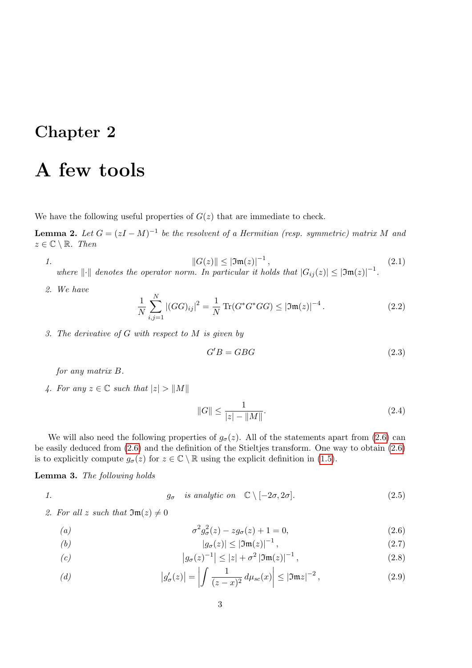## A few tools

We have the following useful properties of  $G(z)$  that are immediate to check.

**Lemma 2.** Let  $G = (zI - M)^{-1}$  be the resolvent of a Hermitian (resp. symmetric) matrix M and  $z \in \mathbb{C} \setminus \mathbb{R}$ . Then

<span id="page-3-2"></span>1. 
$$
||G(z)|| \le |\mathfrak{Im}(z)|^{-1},
$$
 (2.1)

where  $\|\cdot\|$  denotes the operator norm. In particular it holds that  $|G_{ij}(z)| \leq |\mathfrak{Im}(z)|^{-1}$ .

2. We have

$$
\frac{1}{N} \sum_{i,j=1}^{N} |(GG)_{ij}|^2 = \frac{1}{N} \operatorname{Tr}(G^* G^* G G) \le |\mathfrak{Im}(z)|^{-4}.
$$
 (2.2)

3. The derivative of  $G$  with respect to  $M$  is given by

<span id="page-3-1"></span>
$$
G'B = GBG \tag{2.3}
$$

for any matrix B.

4. For any  $z \in \mathbb{C}$  such that  $|z| > ||M||$ 

$$
||G|| \le \frac{1}{|z| - ||M||}.
$$
\n(2.4)

We will also need the following properties of  $g_{\sigma}(z)$ . All of the statements apart from [\(2.6\)](#page-3-0) can be easily deduced from [\(2.6\)](#page-3-0) and the definition of the Stieltjes transform. One way to obtain [\(2.6\)](#page-3-0) is to explicitly compute  $g_{\sigma}(z)$  for  $z \in \mathbb{C} \setminus \mathbb{R}$  using the explicit definition in [\(1.5\)](#page-2-1).

#### Lemma 3. The following holds

1.  $g_{\sigma}$  is analytic on  $\mathbb{C} \setminus [-2\sigma, 2\sigma]$ . (2.5)

<span id="page-3-0"></span>2. For all z such that  $\mathfrak{Im}(z) \neq 0$ 

(a) 
$$
\sigma^2 g_{\sigma}^2(z) - z g_{\sigma}(z) + 1 = 0, \qquad (2.6)
$$

<span id="page-3-4"></span>
$$
|g_{\sigma}(z)| \leq |\mathfrak{Im}(z)|^{-1},\tag{2.7}
$$

<span id="page-3-3"></span>(c) 
$$
|g_{\sigma}(z)^{-1}| \le |z| + \sigma^2 |\mathfrak{Im}(z)|^{-1},
$$
 (2.8)

<span id="page-3-5"></span>(d) 
$$
|g'_{\sigma}(z)| = \left| \int \frac{1}{(z - x)^2} d\mu_{sc}(x) \right| \leq |\mathfrak{Im} z|^{-2}, \qquad (2.9)
$$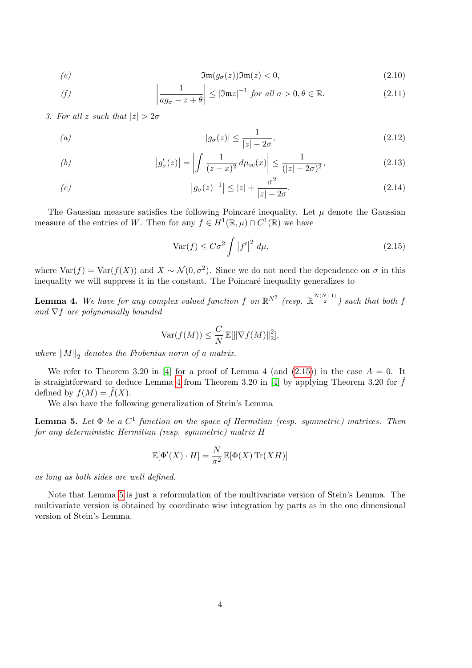$$
\mathfrak{Im}(g_{\sigma}(z))\mathfrak{Im}(z) < 0,\tag{2.10}
$$

<span id="page-4-3"></span>(f) 
$$
\left|\frac{1}{ag_{\sigma}-z+\theta}\right| \leq |\mathfrak{Im}z|^{-1} \text{ for all } a>0, \theta \in \mathbb{R}.
$$
 (2.11)

<span id="page-4-4"></span>3. For all z such that  $|z| > 2\sigma$ 

$$
|g_{\sigma}(z)| \le \frac{1}{|z| - 2\sigma},\tag{2.12}
$$

<span id="page-4-5"></span>(b) 
$$
|g'_{\sigma}(z)| = \left| \int \frac{1}{(z-x)^2} d\mu_{sc}(x) \right| \leq \frac{1}{(|z|-2\sigma)^2},
$$
 (2.13)

<span id="page-4-6"></span>(c) 
$$
|g_{\sigma}(z)^{-1}| \le |z| + \frac{\sigma^2}{|z| - 2\sigma}.
$$
 (2.14)

The Gaussian measure satisfies the following Poincaré inequality. Let  $\mu$  denote the Gaussian measure of the entries of W. Then for any  $f \in H^1(\mathbb{R}, \mu) \cap C^1(\mathbb{R})$  we have

<span id="page-4-0"></span>
$$
\text{Var}(f) \le C\sigma^2 \int |f'|^2 \, d\mu,\tag{2.15}
$$

where  $Var(f) = Var(f(X))$  and  $X \sim \mathcal{N}(0, \sigma^2)$ . Since we do not need the dependence on  $\sigma$  in this inequality we will suppress it in the constant. The Poincaré inequality generalizes to

<span id="page-4-1"></span>**Lemma 4.** We have for any complex valued function f on  $\mathbb{R}^{N^2}$  (resp.  $\mathbb{R}^{\frac{N(N+1)}{2}}$ ) such that both f and  $\nabla f$  are polynomially bounded

$$
\text{Var}(f(M)) \leq \frac{C}{N} \mathbb{E}[\|\nabla f(M)\|_2^2],
$$

where  $||M||_2$  denotes the Frobenius norm of a matrix.

We refer to Theorem 3.20 in [\[4\]](#page-16-3) for a proof of Lemma 4 (and  $(2.15)$ ) in the case  $A = 0$ . It is straightforward to deduce Lemma [4](#page-4-1) from Theorem 3.20 in [\[4\]](#page-16-3) by applying Theorem 3.20 for  $f$ defined by  $f(M) = f(X)$ .

We also have the following generalization of Stein's Lemma

<span id="page-4-2"></span>**Lemma 5.** Let  $\Phi$  be a  $C^1$  function on the space of Hermitian (resp. symmetric) matrices. Then for any deterministic Hermitian (resp. symmetric) matrix H

$$
\mathbb{E}[\Phi'(X) \cdot H] = \frac{N}{\sigma^2} \mathbb{E}[\Phi(X) \operatorname{Tr}(XH)]
$$

as long as both sides are well defined.

Note that Lemma [5](#page-4-2) is just a reformulation of the multivariate version of Stein's Lemma. The multivariate version is obtained by coordinate wise integration by parts as in the one dimensional version of Stein's Lemma.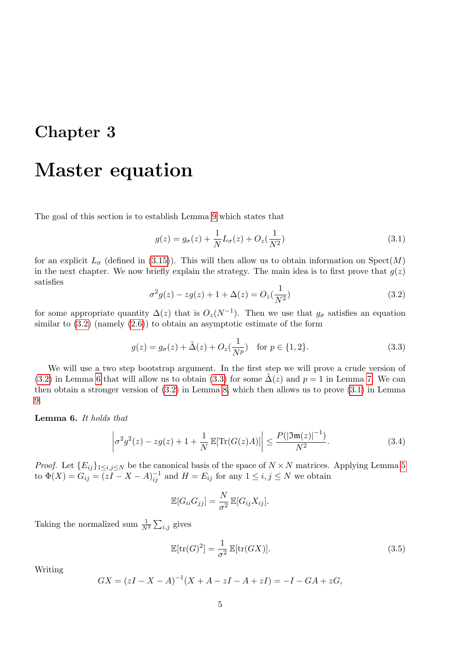## Master equation

The goal of this section is to establish Lemma [9](#page-8-1) which states that

<span id="page-5-3"></span>
$$
g(z) = g_{\sigma}(z) + \frac{1}{N}L_{\sigma}(z) + O_{z}(\frac{1}{N^{2}})
$$
\n(3.1)

for an explicit  $L_{\sigma}$  (defined in [\(3.15\)](#page-8-0)). This will then allow us to obtain information on  $Spect(M)$ in the next chapter. We now briefly explain the strategy. The main idea is to first prove that  $g(z)$ satisfies

<span id="page-5-0"></span>
$$
\sigma^2 g(z) - zg(z) + 1 + \Delta(z) = O_z(\frac{1}{N^2})
$$
\n(3.2)

for some appropriate quantity  $\Delta(z)$  that is  $O_z(N^{-1})$ . Then we use that  $g_{\sigma}$  satisfies an equation similar to  $(3.2)$  (namely  $(2.6)$ ) to obtain an asymptotic estimate of the form

<span id="page-5-2"></span>
$$
g(z) = g_{\sigma}(z) + \tilde{\Delta}(z) + O_z(\frac{1}{N^p}) \quad \text{for } p \in \{1, 2\}.
$$
 (3.3)

We will use a two step bootstrap argument. In the first step we will prove a crude version of [\(3.2\)](#page-5-0) in Lemma [6](#page-5-1) that will allow us to obtain [\(3.3\)](#page-5-2) for some  $\Delta(z)$  and  $p = 1$  in Lemma [7.](#page-6-0) We can then obtain a stronger version of [\(3.2\)](#page-5-0) in Lemma [8,](#page-7-0) which then allows us to prove [\(3.1\)](#page-5-3) in Lemma [9.](#page-8-1)

<span id="page-5-1"></span>Lemma 6. It holds that

<span id="page-5-5"></span>
$$
\left| \sigma^2 g^2(z) - zg(z) + 1 + \frac{1}{N} \mathbb{E}[\text{Tr}(G(z)A)] \right| \le \frac{P(|\mathfrak{Im}(z)|^{-1})}{N^2}.
$$
 (3.4)

*Proof.* Let  ${E_{ij}}_{1\le i,j\le N}$  be the canonical basis of the space of  $N \times N$  matrices. Applying Lemma [5](#page-4-2) to  $\Phi(X) = G_{ij} = \overline{(zI - X - A)_{ij}^{-1}}$  and  $H = E_{ij}$  for any  $1 \le i, j \le N$  we obtain

$$
\mathbb{E}[G_{ii}G_{jj}] = \frac{N}{\sigma^2} \mathbb{E}[G_{ij}X_{ij}].
$$

Taking the normalized sum  $\frac{1}{N^2} \sum_{i,j}$  gives

<span id="page-5-4"></span>
$$
\mathbb{E}[\text{tr}(G)^2] = \frac{1}{\sigma^2} \mathbb{E}[\text{tr}(GX)]. \tag{3.5}
$$

Writing

$$
GX = (zI - X - A)^{-1}(X + A - zI - A + zI) = -I - GA + zG,
$$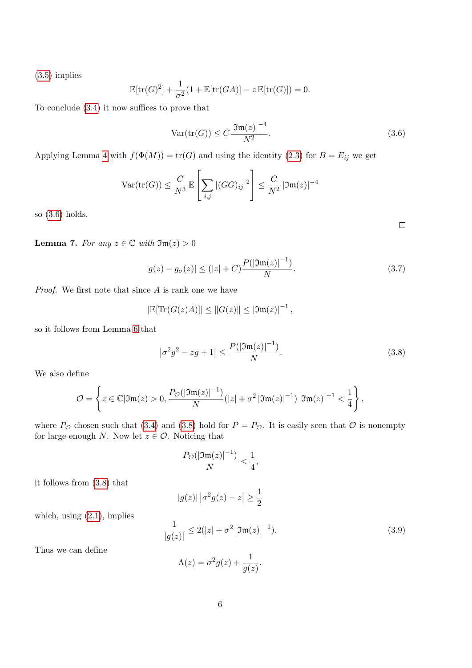[\(3.5\)](#page-5-4) implies

$$
\mathbb{E}[\text{tr}(G)^{2}] + \frac{1}{\sigma^{2}}(1 + \mathbb{E}[\text{tr}(GA)] - z\,\mathbb{E}[\text{tr}(G)]) = 0.
$$

To conclude [\(3.4\)](#page-5-5) it now suffices to prove that

<span id="page-6-1"></span>
$$
\text{Var}(\text{tr}(G)) \le C \frac{|\mathfrak{Im}(z)|^{-4}}{N^2}.\tag{3.6}
$$

Applying Lemma [4](#page-4-1) with  $f(\Phi(M)) = \text{tr}(G)$  and using the identity [\(2.3\)](#page-3-1) for  $B = E_{ij}$  we get

$$
\text{Var}(\text{tr}(G)) \le \frac{C}{N^3} \mathbb{E}\left[\sum_{i,j} |(GG)_{ij}|^2\right] \le \frac{C}{N^2} |\mathfrak{Im}(z)|^{-4}
$$

so [\(3.6\)](#page-6-1) holds.

<span id="page-6-0"></span>**Lemma 7.** For any  $z \in \mathbb{C}$  with  $\mathfrak{Im}(z) > 0$ 

<span id="page-6-4"></span>
$$
|g(z) - g_{\sigma}(z)| \le (|z| + C) \frac{P(|\mathfrak{Im}(z)|^{-1})}{N}.
$$
\n(3.7)

Proof. We first note that since A is rank one we have

$$
|\mathbb{E}[\text{Tr}(G(z)A)]| \leq ||G(z)|| \leq |\mathfrak{Im}(z)|^{-1},
$$

so it follows from Lemma [6](#page-5-1) that

<span id="page-6-2"></span>
$$
\left|\sigma^2 g^2 - zg + 1\right| \le \frac{P(|\mathfrak{Im}(z)|^{-1})}{N}.
$$
\n(3.8)

We also define

$$
\mathcal{O} = \left\{ z \in \mathbb{C} | \mathfrak{Im}(z) > 0, \frac{P_{\mathcal{O}}(|\mathfrak{Im}(z)|^{-1})}{N} (|z| + \sigma^2 |\mathfrak{Im}(z)|^{-1}) |\mathfrak{Im}(z)|^{-1} < \frac{1}{4} \right\},\,
$$

where  $P_{\mathcal{O}}$  chosen such that [\(3.4\)](#page-5-5) and [\(3.8\)](#page-6-2) hold for  $P = P_{\mathcal{O}}$ . It is easily seen that  $\mathcal O$  is nonempty for large enough N. Now let  $z \in \mathcal{O}$ . Noticing that

$$
\frac{P_{\mathcal{O}}(|\mathfrak{Im}(z)|^{-1})}{N} < \frac{1}{4},
$$

it follows from [\(3.8\)](#page-6-2) that

$$
|g(z)| |\sigma^2 g(z) - z| \ge \frac{1}{2}
$$

which, using [\(2.1\)](#page-3-2), implies

<span id="page-6-3"></span>
$$
\frac{1}{|g(z)|} \le 2(|z| + \sigma^2 |\mathfrak{Im}(z)|^{-1}). \tag{3.9}
$$

Thus we can define

$$
\Lambda(z) = \sigma^2 g(z) + \frac{1}{g(z)}.
$$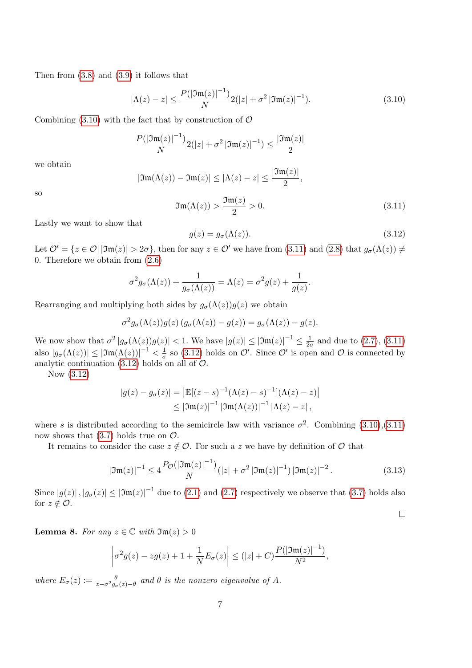Then from [\(3.8\)](#page-6-2) and [\(3.9\)](#page-6-3) it follows that

<span id="page-7-1"></span>
$$
|\Lambda(z) - z| \le \frac{P(|\mathfrak{Im}(z)|^{-1})}{N} 2(|z| + \sigma^2 |\mathfrak{Im}(z)|^{-1}). \tag{3.10}
$$

Combining  $(3.10)$  with the fact that by construction of  $\mathcal O$ 

$$
\frac{P(|\mathfrak{Im}(z)|^{-1})}{N} 2(|z| + \sigma^2 |\mathfrak{Im}(z)|^{-1}) \le \frac{|\mathfrak{Im}(z)|}{2}
$$

we obtain

$$
|\mathfrak{Im}(\Lambda(z))-\mathfrak{Im}(z)|\leq |\Lambda(z)-z|\leq \frac{|\mathfrak{Im}(z)|}{2},
$$

so

<span id="page-7-2"></span>
$$
\mathfrak{Im}(\Lambda(z)) > \frac{\mathfrak{Im}(z)}{2} > 0. \tag{3.11}
$$

Lastly we want to show that

<span id="page-7-3"></span>
$$
g(z) = g_{\sigma}(\Lambda(z)).
$$
\n(3.12)

Let  $\mathcal{O}' = \{z \in \mathcal{O} | |\mathfrak{Im}(z)| > 2\sigma\}$ , then for any  $z \in \mathcal{O}'$  we have from [\(3.11\)](#page-7-2) and [\(2.8\)](#page-3-3) that  $g_{\sigma}(\Lambda(z)) \neq \emptyset$ 0. Therefore we obtain from [\(2.6\)](#page-3-0)

$$
\sigma^2 g_{\sigma}(\Lambda(z)) + \frac{1}{g_{\sigma}(\Lambda(z))} = \Lambda(z) = \sigma^2 g(z) + \frac{1}{g(z)}.
$$

Rearranging and multiplying both sides by  $g_{\sigma}(\Lambda(z))g(z)$  we obtain

$$
\sigma^2 g_{\sigma}(\Lambda(z))g(z) (g_{\sigma}(\Lambda(z)) - g(z)) = g_{\sigma}(\Lambda(z)) - g(z).
$$

We now show that  $\sigma^2 |g_\sigma(\Lambda(z))g(z)| < 1$ . We have  $|g(z)| \leq |\mathfrak{Im}(z)|^{-1} \leq \frac{1}{2d}$  $\frac{1}{2\sigma}$  and due to  $(2.7), (3.11)$  $(2.7), (3.11)$  $(2.7), (3.11)$ also  $|g_{\sigma}(\Lambda(z))| \leq |\mathfrak{Im}(\Lambda(z))|^{-1} < \frac{1}{\sigma}$  $\frac{1}{\sigma}$  so [\(3.12\)](#page-7-3) holds on  $\mathcal{O}'$ . Since  $\mathcal{O}'$  is open and  $\mathcal{O}$  is connected by analytic continuation  $(3.12)$  holds on all of  $\mathcal{O}$ .

Now [\(3.12\)](#page-7-3)

$$
|g(z) - g_{\sigma}(z)| = |\mathbb{E}[(z - s)^{-1}(\Lambda(z) - s)^{-1}](\Lambda(z) - z)|
$$
  
\$\leq |\mathfrak{Im}(z)|^{-1} |\mathfrak{Im}(\Lambda(z))|^{-1} |\Lambda(z) - z|\$,

where s is distributed according to the semicircle law with variance  $\sigma^2$ . Combining [\(3.10\)](#page-7-1),[\(3.11\)](#page-7-2) now shows that  $(3.7)$  holds true on  $\mathcal{O}$ .

It remains to consider the case  $z \notin \mathcal{O}$ . For such a z we have by definition of  $\mathcal O$  that

$$
|\mathfrak{Im}(z)|^{-1} \le 4 \frac{P_{\mathcal{O}}(|\mathfrak{Im}(z)|^{-1})}{N} (|z| + \sigma^2 |\mathfrak{Im}(z)|^{-1}) |\mathfrak{Im}(z)|^{-2}.
$$
 (3.13)

 $\Box$ 

Since  $|g(z)|, |g_{\sigma}(z)| \leq |\mathfrak{Im}(z)|^{-1}$  due to [\(2.1\)](#page-3-2) and [\(2.7\)](#page-3-4) respectively we observe that [\(3.7\)](#page-6-4) holds also for  $z \notin \mathcal{O}$ .

<span id="page-7-0"></span>**Lemma 8.** For any  $z \in \mathbb{C}$  with  $\mathfrak{Im}(z) > 0$ 

$$
\left|\sigma^2 g(z) - zg(z) + 1 + \frac{1}{N} E_{\sigma}(z)\right| \le (|z| + C) \frac{P(|\mathfrak{Im}(z)|^{-1})}{N^2},
$$

where  $E_{\sigma}(z) := \frac{\theta}{z - \sigma^2 g_{\sigma}(z) - \theta}$  and  $\theta$  is the nonzero eigenvalue of A.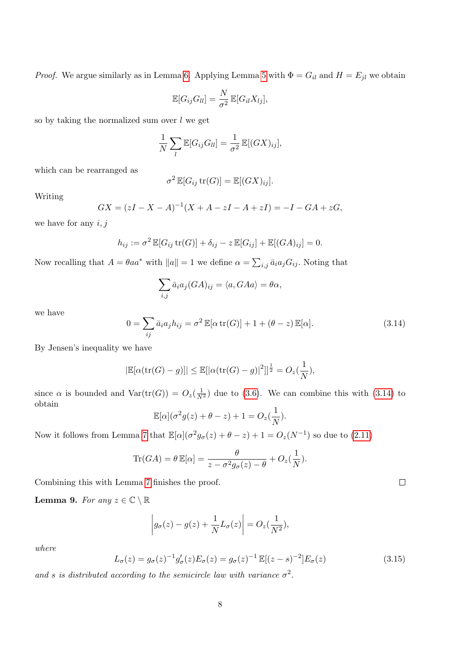*Proof.* We argue similarly as in Lemma [6.](#page-5-1) Applying Lemma [5](#page-4-2) with  $\Phi = G_{il}$  and  $H = E_{jl}$  we obtain

$$
\mathbb{E}[G_{ij}G_{ll}] = \frac{N}{\sigma^2} \mathbb{E}[G_{il}X_{lj}],
$$

so by taking the normalized sum over  $l$  we get

$$
\frac{1}{N}\sum_{l}\mathbb{E}[G_{ij}G_{ll}] = \frac{1}{\sigma^2}\mathbb{E}[(GX)_{ij}],
$$

which can be rearranged as

$$
\sigma^2 \mathbb{E}[G_{ij} \text{tr}(G)] = \mathbb{E}[(GX)_{ij}].
$$

Writing

$$
GX = (zI - X - A)^{-1}(X + A - zI - A + zI) = -I - GA + zG,
$$

we have for any  $i, j$ 

$$
h_{ij} := \sigma^2 \mathbb{E}[G_{ij} \operatorname{tr}(G)] + \delta_{ij} - z \mathbb{E}[G_{ij}] + \mathbb{E}[(GA)_{ij}] = 0.
$$

Now recalling that  $A = \theta a a^*$  with  $||a|| = 1$  we define  $\alpha = \sum_{i,j} \bar{a}_i a_j G_{ij}$ . Noting that

$$
\sum_{i,j} \bar{a}_i a_j (GA)_{ij} = \langle a, G A a \rangle = \theta \alpha,
$$

we have

<span id="page-8-2"></span>
$$
0 = \sum_{ij} \bar{a}_i a_j h_{ij} = \sigma^2 \mathbb{E}[\alpha \operatorname{tr}(G)] + 1 + (\theta - z) \mathbb{E}[\alpha]. \tag{3.14}
$$

By Jensen's inequality we have

$$
|\mathbb{E}[\alpha(\text{tr}(G)-g)]| \leq \mathbb{E}[\alpha(\text{tr}(G)-g)|^2]]^{\frac{1}{2}} = O_z(\frac{1}{N}),
$$

since  $\alpha$  is bounded and  $\text{Var}(\text{tr}(G)) = O_z(\frac{1}{N^2})$  due to [\(3.6\)](#page-6-1). We can combine this with [\(3.14\)](#page-8-2) to obtain

$$
\mathbb{E}[\alpha](\sigma^2 g(z) + \theta - z) + 1 = O_z(\frac{1}{N}).
$$

Now it follows from Lemma [7](#page-6-0) that  $\mathbb{E}[\alpha](\sigma^2 g_{\sigma}(z) + \theta - z) + 1 = O_z(N^{-1})$  so due to  $(2.11)$ 

$$
\text{Tr}(GA) = \theta \mathbb{E}[\alpha] = \frac{\theta}{z - \sigma^2 g_\sigma(z) - \theta} + O_z(\frac{1}{N}).
$$

Combining this with Lemma [7](#page-6-0) finishes the proof.

<span id="page-8-1"></span>**Lemma 9.** For any  $z \in \mathbb{C} \setminus \mathbb{R}$ 

$$
\left| g_{\sigma}(z) - g(z) + \frac{1}{N} L_{\sigma}(z) \right| = O_z(\frac{1}{N^2}),
$$

where

<span id="page-8-0"></span>
$$
L_{\sigma}(z) = g_{\sigma}(z)^{-1} g_{\sigma}'(z) E_{\sigma}(z) = g_{\sigma}(z)^{-1} \mathbb{E}[(z - s)^{-2}] E_{\sigma}(z)
$$
(3.15)

and s is distributed according to the semicircle law with variance  $\sigma^2$ .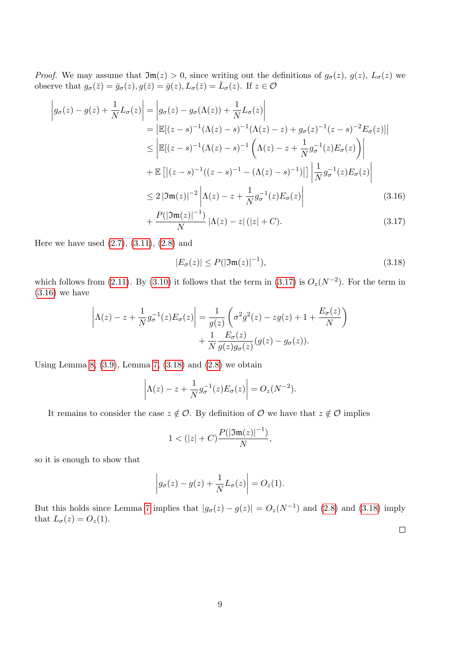*Proof.* We may assume that  $\mathfrak{Im}(z) > 0$ , since writing out the definitions of  $g_{\sigma}(z)$ ,  $g(z)$ ,  $L_{\sigma}(z)$  we observe that  $g_{\sigma}(\bar{z}) = \bar{g}_{\sigma}(z), g(\bar{z}) = \bar{g}(z), L_{\sigma}(\bar{z}) = \bar{L}_{\sigma}(z)$ . If  $z \in \mathcal{O}$ 

$$
\begin{split}\n\left| g_{\sigma}(z) - g(z) + \frac{1}{N} L_{\sigma}(z) \right| &= \left| g_{\sigma}(z) - g_{\sigma}(\Lambda(z)) + \frac{1}{N} L_{\sigma}(z) \right| \\
&= \left| \mathbb{E}[(z - s)^{-1} (\Lambda(z) - s)^{-1} (\Lambda(z) - z) + g_{\sigma}(z)^{-1} (z - s)^{-2} E_{\sigma}(z)] \right| \\
&\le \left| \mathbb{E}[(z - s)^{-1} (\Lambda(z) - s)^{-1} \left( \Lambda(z) - z + \frac{1}{N} g_{\sigma}^{-1}(z) E_{\sigma}(z) \right) \right| \\
&\quad + \mathbb{E} \left[ |(z - s)^{-1} ((z - s)^{-1} - (\Lambda(z) - s)^{-1})| \right] \left| \frac{1}{N} g_{\sigma}^{-1}(z) E_{\sigma}(z) \right| \\
&\le 2 \left| \mathfrak{Im}(z) \right|^{-2} \left| \Lambda(z) - z + \frac{1}{N} g_{\sigma}^{-1}(z) E_{\sigma}(z) \right| \tag{3.16} \\
&\quad + P(|\mathfrak{Im}(z)|^{-1}) \left| \Lambda(z) - z| (\vert z \vert + C) \right|\n\end{split}
$$

$$
+\frac{P(|\mathfrak{Im}(z)|^{-1})}{N}|\Lambda(z)-z|\,(|z|+C). \tag{3.17}
$$

Here we have used  $(2.7)$ ,  $(3.11)$ ,  $(2.8)$  and

<span id="page-9-2"></span><span id="page-9-1"></span><span id="page-9-0"></span>
$$
|E_{\sigma}(z)| \le P(|\mathfrak{Im}(z)|^{-1}),\tag{3.18}
$$

which follows from [\(2.11\)](#page-4-3). By [\(3.10\)](#page-7-1) it follows that the term in [\(3.17\)](#page-9-0) is  $O_z(N^{-2})$ . For the term in [\(3.16\)](#page-9-1) we have

$$
\left|\Lambda(z) - z + \frac{1}{N} g_{\sigma}^{-1}(z) E_{\sigma}(z)\right| = \frac{1}{g(z)} \left(\sigma^2 g^2(z) - zg(z) + 1 + \frac{E_{\sigma}(z)}{N}\right) + \frac{1}{N} \frac{E_{\sigma}(z)}{g(z)g_{\sigma}(z)} (g(z) - g_{\sigma}(z)).
$$

Using Lemma [8,](#page-7-0)  $(3.9)$ , Lemma [7,](#page-6-0)  $(3.18)$  and  $(2.8)$  we obtain

$$
\left|\Lambda(z) - z + \frac{1}{N}g_{\sigma}^{-1}(z)E_{\sigma}(z)\right| = O_z(N^{-2}).
$$

It remains to consider the case  $z \notin \mathcal{O}$ . By definition of  $\mathcal{O}$  we have that  $z \notin \mathcal{O}$  implies

$$
1 < (|z| + C) \frac{P(|\mathfrak{Im}(z)|^{-1})}{N},
$$

so it is enough to show that

$$
\left|g_{\sigma}(z)-g(z)+\frac{1}{N}L_{\sigma}(z)\right|=O_{z}(1).
$$

But this holds since Lemma [7](#page-6-0) implies that  $|g_{\sigma}(z) - g(z)| = O_z(N^{-1})$  and [\(2.8\)](#page-3-3) and [\(3.18\)](#page-9-2) imply that  $L_{\sigma}(z) = O_z(1)$ .  $\Box$ 

9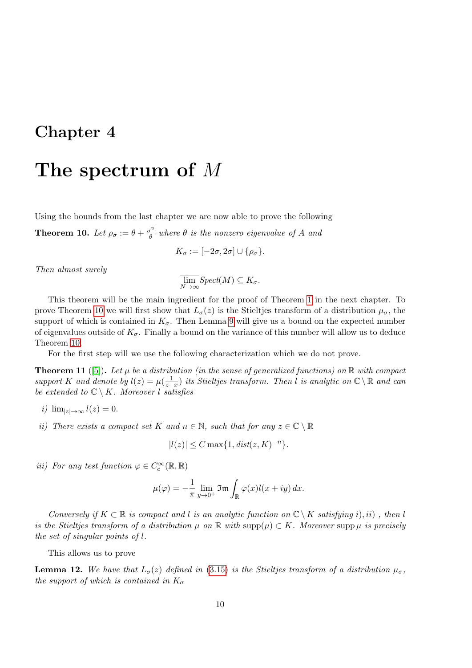## The spectrum of M

Using the bounds from the last chapter we are now able to prove the following

<span id="page-10-0"></span>**Theorem 10.** Let  $\rho_{\sigma} := \theta + \frac{\sigma^2}{\theta}$  $\frac{\partial \mathcal{L}}{\partial \theta}$  where  $\theta$  is the nonzero eigenvalue of A and

$$
K_{\sigma} := [-2\sigma, 2\sigma] \cup \{\rho_{\sigma}\}.
$$

Then almost surely

$$
\overline{\lim_{N\to\infty}}Spect(M)\subseteq K_{\sigma}.
$$

This theorem will be the main ingredient for the proof of Theorem [1](#page-1-0) in the next chapter. To prove Theorem [10](#page-10-0) we will first show that  $L_{\sigma}(z)$  is the Stieltjes transform of a distribution  $\mu_{\sigma}$ , the support of which is contained in  $K_{\sigma}$ . Then Lemma [9](#page-8-1) will give us a bound on the expected number of eigenvalues outside of  $K_{\sigma}$ . Finally a bound on the variance of this number will allow us to deduce Theorem [10.](#page-10-0)

For the first step will we use the following characterization which we do not prove.

<span id="page-10-1"></span>**Theorem 11** ([\[5\]](#page-16-4)). Let  $\mu$  be a distribution (in the sense of generalized functions) on  $\mathbb{R}$  with compact support K and denote by  $l(z) = \mu(\frac{1}{z-z})$  its Stieltjes transform. Then l is analytic on  $\mathbb{C} \setminus \mathbb{R}$  and can be extended to  $\mathbb{C} \setminus K$ . Moreover l satisfies

$$
i) \ \lim_{|z| \to \infty} l(z) = 0.
$$

ii) There exists a compact set K and  $n \in \mathbb{N}$ , such that for any  $z \in \mathbb{C} \setminus \mathbb{R}$ 

$$
|l(z)| \le C \max\{1, dist(z, K)^{-n}\}.
$$

iii) For any test function  $\varphi \in C_c^{\infty}(\mathbb{R}, \mathbb{R})$ 

$$
\mu(\varphi) = -\frac{1}{\pi} \lim_{y \to 0^+} \Im \mathfrak{m} \int_{\mathbb{R}} \varphi(x) l(x+iy) \, dx.
$$

Conversely if  $K \subset \mathbb{R}$  is compact and l is an analytic function on  $\mathbb{C} \setminus K$  satisfying i), ii), then l is the Stieltjes transform of a distribution  $\mu$  on  $\mathbb R$  with  $\text{supp}(\mu) \subset K$ . Moreover  $\text{supp}\,\mu$  is precisely the set of singular points of l.

This allows us to prove

<span id="page-10-2"></span>**Lemma 12.** We have that  $L_{\sigma}(z)$  defined in [\(3.15\)](#page-8-0) is the Stieltjes transform of a distribution  $\mu_{\sigma}$ , the support of which is contained in  $K_{\sigma}$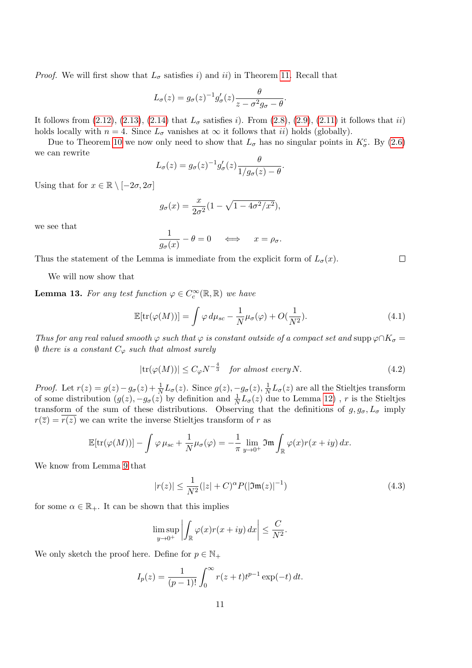*Proof.* We will first show that  $L_{\sigma}$  satisfies i) and ii) in Theorem [11.](#page-10-1) Recall that

$$
L_{\sigma}(z) = g_{\sigma}(z)^{-1} g_{\sigma}'(z) \frac{\theta}{z - \sigma^2 g_{\sigma} - \theta}.
$$

It follows from  $(2.12)$ ,  $(2.13)$ ,  $(2.14)$  that  $L_{\sigma}$  satisfies i). From  $(2.8)$ ,  $(2.9)$ ,  $(2.11)$  it follows that ii) holds locally with  $n = 4$ . Since  $L_{\sigma}$  vanishes at  $\infty$  it follows that *ii*) holds (globally).

Due to Theorem [10](#page-10-0) we now only need to show that  $L_{\sigma}$  has no singular points in  $K_{\sigma}^{c}$ . By [\(2.6\)](#page-3-0) we can rewrite

$$
L_{\sigma}(z) = g_{\sigma}(z)^{-1} g_{\sigma}'(z) \frac{\theta}{1/g_{\sigma}(z) - \theta}.
$$

Using that for  $x \in \mathbb{R} \setminus [-2\sigma, 2\sigma]$ 

$$
g_{\sigma}(x) = \frac{x}{2\sigma^2} (1 - \sqrt{1 - 4\sigma^2/x^2}),
$$

we see that

$$
\frac{1}{g_{\sigma}(x)} - \theta = 0 \quad \iff \quad x = \rho_{\sigma}.
$$

Thus the statement of the Lemma is immediate from the explicit form of  $L_{\sigma}(x)$ .

We will now show that

<span id="page-11-3"></span>**Lemma 13.** For any test function  $\varphi \in C_c^{\infty}(\mathbb{R}, \mathbb{R})$  we have

<span id="page-11-1"></span>
$$
\mathbb{E}[\text{tr}(\varphi(M))] = \int \varphi \, d\mu_{sc} - \frac{1}{N} \mu_{\sigma}(\varphi) + O(\frac{1}{N^2}).\tag{4.1}
$$

Thus for any real valued smooth  $\varphi$  such that  $\varphi$  is constant outside of a compact set and supp  $\varphi \cap K_{\sigma} =$  $\emptyset$  there is a constant  $C_{\varphi}$  such that almost surely

<span id="page-11-2"></span>
$$
|\text{tr}(\varphi(M))| \le C_{\varphi} N^{-\frac{4}{3}} \quad \text{for almost every } N. \tag{4.2}
$$

*Proof.* Let  $r(z) = g(z) - g_{\sigma}(z) + \frac{1}{N}L_{\sigma}(z)$ . Since  $g(z), -g_{\sigma}(z), \frac{1}{N}$  $\frac{1}{N}L_{\sigma}(z)$  are all the Stieltjes transform of some distribution  $(g(z), -g_{\sigma}(z))$  by definition and  $\frac{1}{N}L_{\sigma}(z)$  due to Lemma [12\)](#page-10-2), r is the Stieltjes transform of the sum of these distributions. Observing that the definitions of  $g, g_{\sigma}, L_{\sigma}$  imply  $r(\overline{z}) = r(z)$  we can write the inverse Stieltjes transform of r as

$$
\mathbb{E}[\text{tr}(\varphi(M))] - \int \varphi \,\mu_{sc} + \frac{1}{N} \mu_{\sigma}(\varphi) = -\frac{1}{\pi} \lim_{y \to 0^+} \mathfrak{Im} \int_{\mathbb{R}} \varphi(x) r(x+iy) \, dx.
$$

We know from Lemma [9](#page-8-1) that

<span id="page-11-0"></span>
$$
|r(z)| \le \frac{1}{N^2} (|z| + C)^{\alpha} P(|\mathfrak{Im}(z)|^{-1})
$$
\n(4.3)

for some  $\alpha \in \mathbb{R}_+$ . It can be shown that this implies

$$
\limsup_{y \to 0^+} \left| \int_{\mathbb{R}} \varphi(x) r(x+iy) \, dx \right| \leq \frac{C}{N^2}.
$$

We only sketch the proof here. Define for  $p \in \mathbb{N}_+$ 

$$
I_p(z) = \frac{1}{(p-1)!} \int_0^\infty r(z+t)t^{p-1} \exp(-t) dt.
$$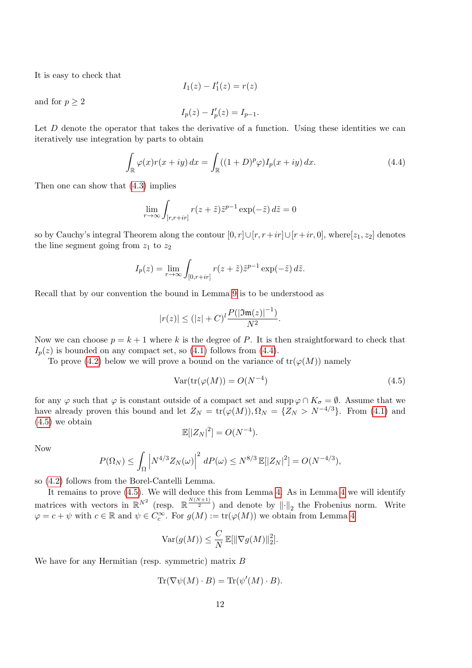It is easy to check that

$$
I_1(z) - I_1'(z) = r(z)
$$

and for  $p \geq 2$ 

$$
I_p(z) - I'_p(z) = I_{p-1}.
$$

Let  $D$  denote the operator that takes the derivative of a function. Using these identities we can iteratively use integration by parts to obtain

<span id="page-12-0"></span>
$$
\int_{\mathbb{R}} \varphi(x)r(x+iy) dx = \int_{\mathbb{R}} ((1+D)^p \varphi) I_p(x+iy) dx.
$$
\n(4.4)

Then one can show that [\(4.3\)](#page-11-0) implies

$$
\lim_{r \to \infty} \int_{[r,r+ir]} r(z+\tilde{z}) \tilde{z}^{p-1} \exp(-\tilde{z}) d\tilde{z} = 0
$$

so by Cauchy's integral Theorem along the contour  $[0, r] \cup [r, r+ir] \cup [r+ir, 0]$ , where $[z_1, z_2]$  denotes the line segment going from  $z_1$  to  $z_2$ 

$$
I_p(z) = \lim_{r \to \infty} \int_{[0, r+ir]} r(z + \tilde{z}) \tilde{z}^{p-1} \exp(-\tilde{z}) d\tilde{z}.
$$

Recall that by our convention the bound in Lemma [9](#page-8-1) is to be understood as

$$
|r(z)| \le (|z| + C)^l \frac{P(|\mathfrak{Im}(z)|^{-1})}{N^2}.
$$

Now we can choose  $p = k + 1$  where k is the degree of P. It is then straightforward to check that  $I_p(z)$  is bounded on any compact set, so [\(4.1\)](#page-11-1) follows from [\(4.4\)](#page-12-0).

To prove [\(4.2\)](#page-11-2) below we will prove a bound on the variance of  $tr(\varphi(M))$  namely

<span id="page-12-1"></span>
$$
Var(tr(\varphi(M)) = O(N^{-4})
$$
\n(4.5)

for any  $\varphi$  such that  $\varphi$  is constant outside of a compact set and supp  $\varphi \cap K_{\sigma} = \emptyset$ . Assume that we have already proven this bound and let  $Z_N = \text{tr}(\varphi(M)), \Omega_N = \{Z_N > N^{-4/3}\}.$  From [\(4.1\)](#page-11-1) and [\(4.5\)](#page-12-1) we obtain

$$
\mathbb{E}[|Z_N|^2] = O(N^{-4}).
$$

Now

$$
P(\Omega_N) \leq \int_{\Omega} \left| N^{4/3} Z_N(\omega) \right|^2 dP(\omega) \leq N^{8/3} \mathbb{E}[|Z_N|^2] = O(N^{-4/3}),
$$

so [\(4.2\)](#page-11-2) follows from the Borel-Cantelli Lemma.

It remains to prove [\(4.5\)](#page-12-1). We will deduce this from Lemma [4.](#page-4-1) As in Lemma [4](#page-4-1) we will identify matrices with vectors in  $\mathbb{R}^{N^2}$  (resp.  $\mathbb{R}^{\frac{N(N+1)}{2}}$ ) and denote by  $\|\cdot\|_2$  the Frobenius norm. Write  $\varphi = c + \psi$  with  $c \in \mathbb{R}$  and  $\psi \in C_c^{\infty}$ . For  $g(M) := \text{tr}(\varphi(M))$  we obtain from Lemma [4](#page-4-1)

$$
\text{Var}(g(M)) \leq \frac{C}{N} \mathbb{E}[\|\nabla g(M)\|_2^2].
$$

We have for any Hermitian (resp. symmetric) matrix B

$$
\operatorname{Tr}(\nabla \psi(M) \cdot B) = \operatorname{Tr}(\psi'(M) \cdot B).
$$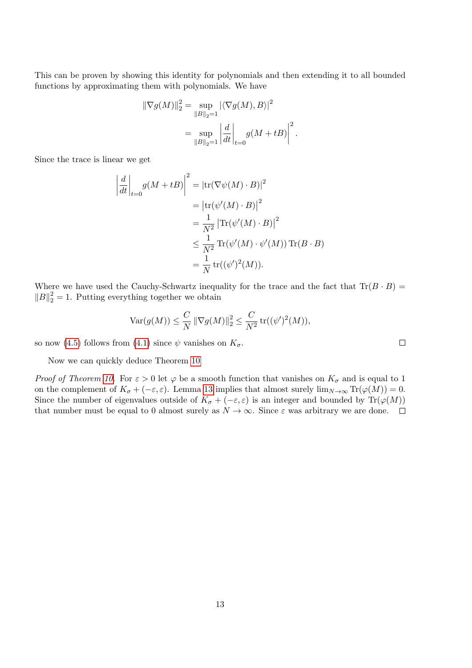This can be proven by showing this identity for polynomials and then extending it to all bounded functions by approximating them with polynomials. We have

$$
\|\nabla g(M)\|_2^2 = \sup_{\|B\|_2=1} |\langle \nabla g(M), B \rangle|^2
$$

$$
= \sup_{\|B\|_2=1} \left| \frac{d}{dt} \right|_{t=0} g(M + tB) \Big|^2
$$

.

Since the trace is linear we get

$$
\left| \frac{d}{dt} \right|_{t=0} g(M + tB) \Big|^2 = \left| \text{tr}(\nabla \psi(M) \cdot B) \right|^2
$$
  

$$
= \left| \text{tr}(\psi'(M) \cdot B) \right|^2
$$
  

$$
= \frac{1}{N^2} \left| \text{Tr}(\psi'(M) \cdot B) \right|^2
$$
  

$$
\leq \frac{1}{N^2} \text{Tr}(\psi'(M) \cdot \psi'(M)) \text{Tr}(B \cdot B)
$$
  

$$
= \frac{1}{N} \text{tr}((\psi')^2(M)).
$$

Where we have used the Cauchy-Schwartz inequality for the trace and the fact that  $\text{Tr}(B \cdot B)$  =  $||B||_2^2 = 1$ . Putting everything together we obtain

$$
\text{Var}(g(M)) \le \frac{C}{N} \|\nabla g(M)\|_2^2 \le \frac{C}{N^2} \text{tr}((\psi')^2(M)),
$$

so now [\(4.5\)](#page-12-1) follows from [\(4.1\)](#page-11-1) since  $\psi$  vanishes on  $K_{\sigma}$ .

Now we can quickly deduce Theorem [10](#page-10-0)

*Proof of Theorem [10.](#page-10-0)* For  $\varepsilon > 0$  let  $\varphi$  be a smooth function that vanishes on  $K_{\sigma}$  and is equal to 1 on the complement of  $K_{\sigma} + (-\varepsilon, \varepsilon)$ . Lemma [13](#page-11-3) implies that almost surely  $\lim_{N\to\infty} \text{Tr}(\varphi(M)) = 0$ . Since the number of eigenvalues outside of  $K_{\sigma} + (-\varepsilon, \varepsilon)$  is an integer and bounded by Tr( $\varphi(M)$ ) that number must be equal to 0 almost surely as  $N \to \infty$ . Since  $\varepsilon$  was arbitrary we are done.  $\square$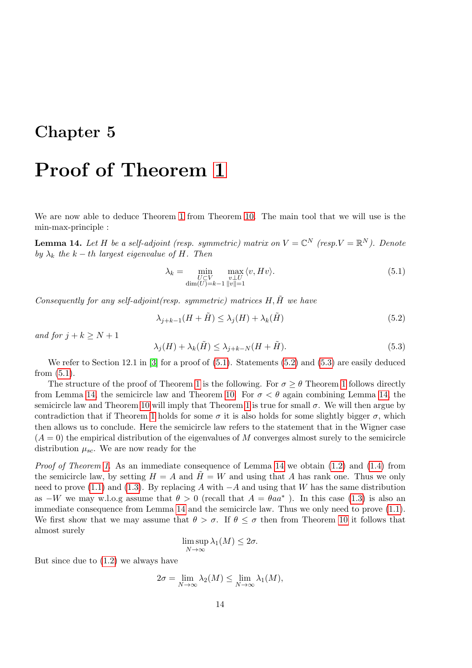## Proof of Theorem [1](#page-1-0)

We are now able to deduce Theorem [1](#page-1-0) from Theorem [10.](#page-10-0) The main tool that we will use is the min-max-principle :

<span id="page-14-3"></span>**Lemma 14.** Let H be a self-adjoint (resp. symmetric) matrix on  $V = \mathbb{C}^N$  (resp. $V = \mathbb{R}^N$ ). Denote by  $\lambda_k$  the k – th largest eigenvalue of H. Then

<span id="page-14-0"></span>
$$
\lambda_k = \min_{\substack{U \subset V \\ \dim(U) = k-1}} \max_{\substack{v \perp U \\ ||v|| = 1}} \langle v, Hv \rangle.
$$
\n(5.1)

Consequently for any self-adjoint(resp. symmetric) matrices  $H, \tilde{H}$  we have

<span id="page-14-1"></span>
$$
\lambda_{j+k-1}(H+\tilde{H}) \le \lambda_j(H) + \lambda_k(\tilde{H})
$$
\n(5.2)

and for  $j + k \geq N + 1$ 

<span id="page-14-2"></span>
$$
\lambda_j(H) + \lambda_k(\tilde{H}) \le \lambda_{j+k-N}(H + \tilde{H}).\tag{5.3}
$$

We refer to Section 12.1 in [\[3\]](#page-16-5) for a proof of  $(5.1)$ . Statements  $(5.2)$  and  $(5.3)$  are easily deduced from [\(5.1\)](#page-14-0).

The structure of the proof of Theorem [1](#page-1-0) is the following. For  $\sigma \geq \theta$  Theorem 1 follows directly from Lemma [14,](#page-14-3) the semicircle law and Theorem [10.](#page-10-0) For  $\sigma < \theta$  again combining Lemma 14, the semicircle law and Theorem [10](#page-10-0) will imply that Theorem [1](#page-1-0) is true for small  $\sigma$ . We will then argue by contradiction that if Theorem [1](#page-1-0) holds for some  $\sigma$  it is also holds for some slightly bigger  $\sigma$ , which then allows us to conclude. Here the semicircle law refers to the statement that in the Wigner case  $(A = 0)$  the empirical distribution of the eigenvalues of M converges almost surely to the semicircle distribution  $\mu_{sc}$ . We are now ready for the

*Proof of Theorem [1.](#page-1-0)* As an immediate consequence of Lemma [14](#page-14-3) we obtain  $(1.2)$  and  $(1.4)$  from the semicircle law, by setting  $H = A$  and  $\tilde{H} = W$  and using that A has rank one. Thus we only need to prove [\(1.1\)](#page-1-3) and [\(1.3\)](#page-1-4). By replacing A with  $-A$  and using that W has the same distribution as  $-W$  we may w.l.o.g assume that  $\theta > 0$  (recall that  $A = \theta a a^*$ ). In this case [\(1.3\)](#page-1-4) is also an immediate consequence from Lemma [14](#page-14-3) and the semicircle law. Thus we only need to prove [\(1.1\)](#page-1-3). We first show that we may assume that  $\theta > \sigma$ . If  $\theta \leq \sigma$  then from Theorem [10](#page-10-0) it follows that almost surely

$$
\limsup_{N \to \infty} \lambda_1(M) \le 2\sigma.
$$

But since due to  $(1.2)$  we always have

$$
2\sigma = \lim_{N \to \infty} \lambda_2(M) \le \lim_{N \to \infty} \lambda_1(M),
$$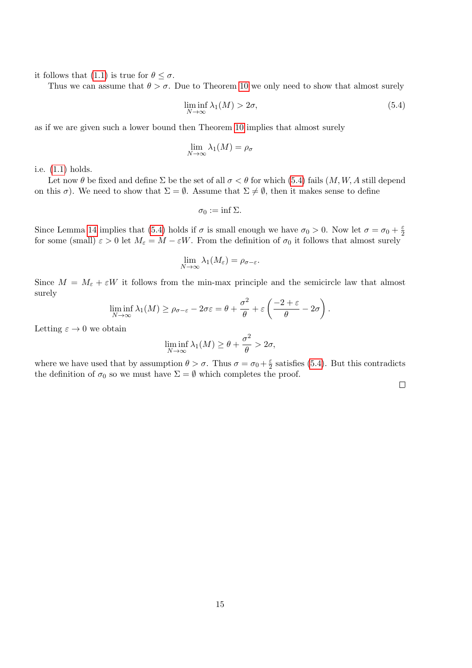it follows that [\(1.1\)](#page-1-3) is true for  $\theta \leq \sigma$ .

Thus we can assume that  $\theta > \sigma$ . Due to Theorem [10](#page-10-0) we only need to show that almost surely

<span id="page-15-0"></span>
$$
\liminf_{N \to \infty} \lambda_1(M) > 2\sigma,\tag{5.4}
$$

as if we are given such a lower bound then Theorem [10](#page-10-0) implies that almost surely

$$
\lim_{N \to \infty} \lambda_1(M) = \rho_{\sigma}
$$

i.e. [\(1.1\)](#page-1-3) holds.

Let now  $\theta$  be fixed and define  $\Sigma$  be the set of all  $\sigma < \theta$  for which [\(5.4\)](#page-15-0) fails  $(M, W, A)$  still depend on this  $\sigma$ ). We need to show that  $\Sigma = \emptyset$ . Assume that  $\Sigma \neq \emptyset$ , then it makes sense to define

$$
\sigma_0:=\inf\Sigma.
$$

Since Lemma [14](#page-14-3) implies that [\(5.4\)](#page-15-0) holds if  $\sigma$  is small enough we have  $\sigma_0 > 0$ . Now let  $\sigma = \sigma_0 + \frac{\varepsilon}{2}$ 2 for some (small)  $\varepsilon > 0$  let  $M_{\varepsilon} = M - \varepsilon W$ . From the definition of  $\sigma_0$  it follows that almost surely

$$
\lim_{N\to\infty}\lambda_1(M_{\varepsilon})=\rho_{\sigma-\varepsilon}.
$$

Since  $M = M_{\varepsilon} + \varepsilon W$  it follows from the min-max principle and the semicircle law that almost surely

$$
\liminf_{N \to \infty} \lambda_1(M) \ge \rho_{\sigma-\varepsilon} - 2\sigma\varepsilon = \theta + \frac{\sigma^2}{\theta} + \varepsilon \left( \frac{-2 + \varepsilon}{\theta} - 2\sigma \right).
$$

Letting  $\varepsilon \to 0$  we obtain

$$
\liminf_{N \to \infty} \lambda_1(M) \ge \theta + \frac{\sigma^2}{\theta} > 2\sigma,
$$

where we have used that by assumption  $\theta > \sigma$ . Thus  $\sigma = \sigma_0 + \frac{\varepsilon}{2}$  $\frac{\varepsilon}{2}$  satisfies [\(5.4\)](#page-15-0). But this contradicts the definition of  $\sigma_0$  so we must have  $\Sigma = \emptyset$  which completes the proof.